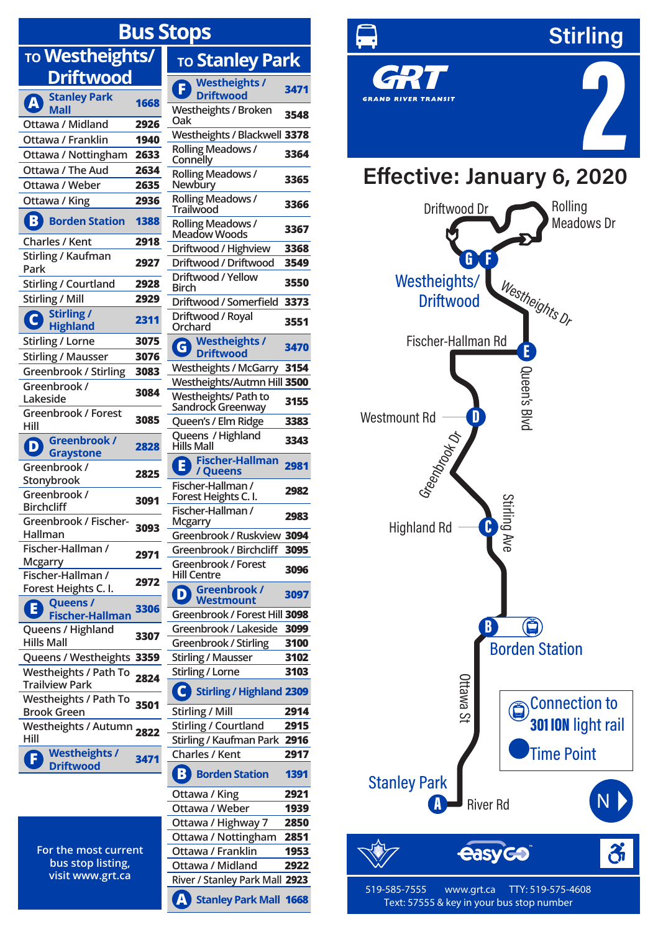## **Bus S TO Westheights/ Driftwood A Stanley Park Mall <sup>1668</sup> Ottawa / Midland 2926 Ottawa / Franklin 1940 Ottawa / Nottingham 2633 Ottawa / The Aud 2634 Ottawa / Weber 2635 Ottawa / King 2936 B Borden Station <sup>1388</sup> Charles / Kent 2918 F Westheights / Westheights / Broken Rolling Meadows / Rolling Meadows / Rolling Meadows / Rolling Meadows /**

| Stirling / Kaufman<br>Park                         | 2927 |
|----------------------------------------------------|------|
| Stirling / Courtland                               | 2928 |
| Stirling / Mill                                    | 2929 |
| Stirling /<br>G<br><b>Highland</b>                 | 2311 |
| Stirling / Lorne                                   | 3075 |
| <b>Stirling / Mausser</b>                          | 3076 |
| Greenbrook / Stirling                              | 3083 |
| Greenbrook /<br>Lakeside                           | 3084 |
| Greenbrook / Forest<br>Hill                        | 3085 |
| Greenbrook /<br>D)<br><b>Graystone</b>             | 2828 |
| Greenbrook /<br>Stonybrook                         | 2825 |
| Greenbrook /<br><b>Birchcliff</b>                  | 3091 |
| Greenbrook / Fischer-<br>Hallman                   | 3093 |
| Fischer-Hallman /<br>Mcgarry                       | 2971 |
| Fischer-Hallman /<br>Forest Heights C. I.          | 2972 |
| Queens /<br>A<br><b>Fischer-Hallman</b>            | 3306 |
| Queens / Highland<br><b>Hills Mall</b>             | 3307 |
| Queens / Westheights                               | 3359 |
| Westheights / Path To<br><b>Trailview Park</b>     | 2824 |
| <b>Westheights / Path To</b><br><b>Brook Green</b> | 3501 |
| <b>Westheights / Autumn</b><br>Hill                | 2822 |
| <b>Westheights/</b><br>Œ<br><b>Driftwood</b>       | 3471 |

**For the most current bus stop listing, visit www.grt.ca**

| itops                                                               |              |
|---------------------------------------------------------------------|--------------|
| To Stanley Park                                                     |              |
| <b>Westheights /</b><br><b>Driftwood</b>                            | 3471         |
| Westheights / Broken<br>Oak                                         | 3548         |
| Westheights / Blackwell 3378                                        |              |
| Rolling Meadows /<br>Connelly                                       | 3364         |
| Rolling Meadows /<br>Newbury                                        | 3365         |
| Rolling Meadows /<br>Trailwood                                      | 3366         |
| Rolling Meadows /<br>Meadow Woods                                   | 3367         |
| Driftwood / Highview                                                | 3368         |
| Driftwood / Driftwood                                               | 3549         |
| Driftwood / Yellow<br>Birch                                         | 3550         |
| Driftwood / Somerfield                                              | 3373         |
| Driftwood / Royal<br>Orchard                                        | 3551         |
| <b>Westheights /</b><br>$\overline{\mathsf{G}}$<br><b>Driftwood</b> | 3470         |
| Westheights / McGarry                                               | 3154         |
| Westheights/Autmn Hill 3500                                         |              |
| Westheights/Path to<br>Sandrock Greenway                            | 3155         |
| Queen's / Elm Ridge                                                 | 3383         |
| Queens / Highland<br><b>Hills Mall</b>                              | 3343         |
| <b>Fischer-Hallman</b><br>E<br>/ Queens                             | 2981         |
| Fischer-Hallman /<br>Forest Heights C.I.                            | 2982         |
| Fischer-Hallman /<br>Mcgarry                                        | 2983         |
| Greenbrook / Ruskview                                               | 3094         |
| Greenbrook / Birchcliff                                             | 3095         |
| Greenbrook / Forest<br>Hill Centre                                  | 3096         |
| Greenbrook /<br>D<br><b>Westmount</b>                               | 3097         |
| Greenbrook / Forest Hill 3098                                       |              |
| Greenbrook / Lakeside<br>Greenbrook / Stirling                      | 3099<br>3100 |
| <b>Stirling / Mausser</b>                                           | 3102         |
| Stirling / Lorne                                                    | 3103         |
| Stirling / Highland 2309                                            |              |
| Stirling / Mill                                                     | 2914         |
| <b>Stirling / Courtland</b>                                         | 2915         |
| Stirling / Kaufman Park                                             | 2916         |
| Charles / Kent                                                      | 2917         |
| B<br><b>Borden Station</b>                                          | 1391         |
| Ottawa / King                                                       | 2921         |
| Ottawa / Weber                                                      | 1939         |
| Ottawa / Highway 7<br>Ottawa / Nottingham                           | 2850<br>2851 |
| Ottawa / Franklin                                                   | 1953         |
| Ottawa / Midland                                                    | 2922         |
| River / Stanley Park Mall                                           | 2923         |
| Stanley Park Mall                                                   | 1668         |



**519-585-7555 www.grt.ca TTY: 519-575-4608 Text: 57555 & key in your bus stop number**